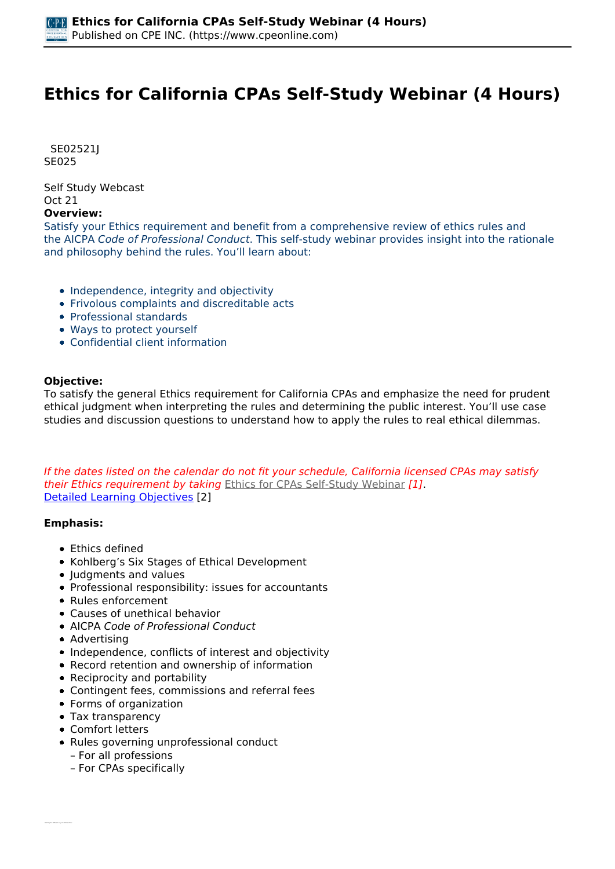# **Ethics for California CPAs Self-Study Webinar (4 Hours)**

 *SE02521J SE025* 

*Self Study Webcast Oct 21* 

#### **Overview:**

*Satisfy your Ethics requirement and benefit from a comprehensive review of ethics rules and the AICPA Code of Professional Conduct. This self-study webinar provides insight into the rationale and philosophy behind the rules. You'll learn about:*

- *Independence, integrity and objectivity*
- *Frivolous complaints and discreditable acts*
- *Professional standards*
- *Ways to protect yourself*
- *Confidential client information*

### **Objective:**

*To satisfy the general Ethics requirement for California CPAs and emphasize the need for prudent ethical judgment when interpreting the rules and determining the public interest. You'll use case studies and discussion questions to understand how to apply the rules to real ethical dilemmas.*

*If the dates listed on the calendar do not fit your schedule, California licensed CPAs may satisfy their Ethics requirement by taking [Ethics for CPAs Self-Study Webinar](https://www.cpeonline.com/node/112855) [1]. [Detailed Learning Objectives](https://www.cpeonline.com/JavaScript:showObjectivesPopup();) [2]*

### **Emphasis:**

- *Ethics defined*
- *Kohlberg's Six Stages of Ethical Development*
- *Judgments and values*
- *Professional responsibility: issues for accountants*
- *Rules enforcement*
- *Causes of unethical behavior*
- *AICPA Code of Professional Conduct*
- *Advertising*
- *Independence, conflicts of interest and objectivity*
- *Record retention and ownership of information*
- *Reciprocity and portability*
- *Contingent fees, commissions and referral fees*
- *Forms of organization*
- *Tax transparency*
- *Comfort letters*
- *Rules governing unprofessional conduct – For all professions*
	- *For CPAs specifically*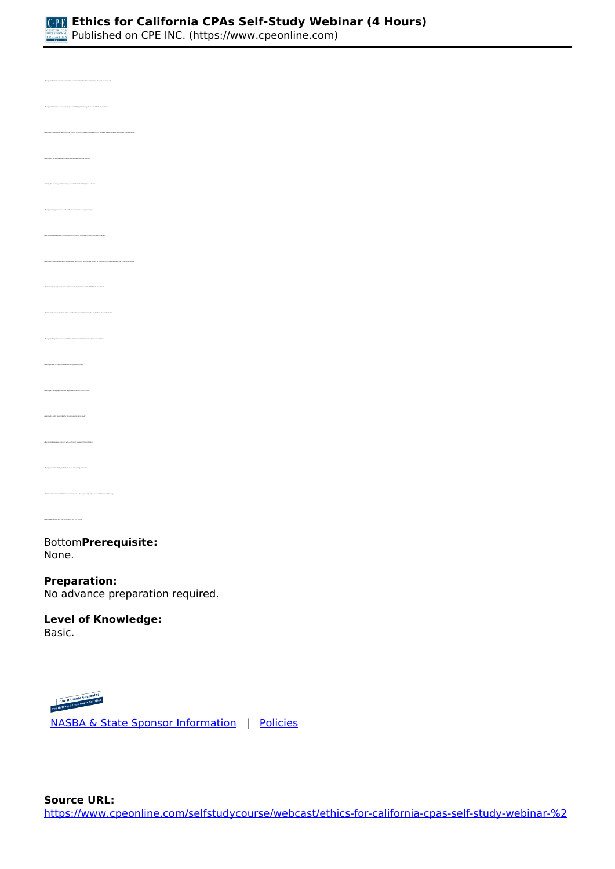

*Published on CPE INC. (https://www.cpeonline.com)*

| gries the mails<br>lies for ethical behavior as identified in Kabikery's stages of municipality                                                                                                                                                                                                                                                                                                                                                                                                              |  |
|--------------------------------------------------------------------------------------------------------------------------------------------------------------------------------------------------------------------------------------------------------------------------------------------------------------------------------------------------------------------------------------------------------------------------------------------------------------------------------------------------------------|--|
| -<br>Amapúa the relative pressure put upon the CPA preparar during the numeri COVA 39 paralamic                                                                                                                                                                                                                                                                                                                                                                                                              |  |
| Metally the professional manifation that process Chila from claiming ignorous of the naiss and standards applicable to their enhancials                                                                                                                                                                                                                                                                                                                                                                      |  |
| .<br>Memby the accounting hearts leading to potentially unethinal behavior                                                                                                                                                                                                                                                                                                                                                                                                                                   |  |
| identify the linewisty beamly primary remains when also juicing a freeware                                                                                                                                                                                                                                                                                                                                                                                                                                   |  |
| .<br>Amagniae ampagamantu in artich a CPA is werking in a fideniary separate                                                                                                                                                                                                                                                                                                                                                                                                                                 |  |
| -<br>Amagnize the practitioner's responsibilities to the IRC in reports to close information requests                                                                                                                                                                                                                                                                                                                                                                                                        |  |
| Intelligible Einschanze in adult a practitioner must alleat the informal compani af claims in adult the practitioner has a conflict of internal                                                                                                                                                                                                                                                                                                                                                              |  |
| Contemine the perspective from which aroundscorp boards view the AGPA Cede of Constant                                                                                                                                                                                                                                                                                                                                                                                                                       |  |
| .<br>Determine the single must imported considerative when determining the mest ethical chains of active(s)                                                                                                                                                                                                                                                                                                                                                                                                  |  |
| .<br>Nemprise the primary concern with the performance of attest services for non-attest claning                                                                                                                                                                                                                                                                                                                                                                                                             |  |
| $\label{thm:main} \centering \textbf{MSE} = \textbf{MSE} \times \textbf{MSE} \times \textbf{MSE} \times \textbf{MSE} \times \textbf{MSE} \times \textbf{MSE} \times \textbf{MSE} \times \textbf{MSE} \times \textbf{MSE} \times \textbf{MSE} \times \textbf{MSE} \times \textbf{MSE} \times \textbf{MSE} \times \textbf{MSE} \times \textbf{MSE} \times \textbf{MSE} \times \textbf{MSE} \times \textbf{MSE} \times \textbf{MSE} \times \textbf{MSE} \times \textbf{MSE} \times \textbf{MSE} \times \textbf$ |  |
| ently the work paper retention requirements of the Coste of Comtext                                                                                                                                                                                                                                                                                                                                                                                                                                          |  |
| liketily the entity responsible for the promalgation of LE GAM                                                                                                                                                                                                                                                                                                                                                                                                                                               |  |
| . Reception the primary concerns with contingent from within the profession                                                                                                                                                                                                                                                                                                                                                                                                                                  |  |
| .<br>Reception confidentially restrictions in the accounting prod                                                                                                                                                                                                                                                                                                                                                                                                                                            |  |
| Determine those nearely that must be provided to a client, upon request, even where from any subst                                                                                                                                                                                                                                                                                                                                                                                                           |  |
| · Mentity permissible and non. permissible CPA form names                                                                                                                                                                                                                                                                                                                                                                                                                                                    |  |

#### *Bottom***Prerequisite:**  *None.*

# **Preparation:**

*No advance preparation required.*

#### **Level of Knowledge:**  *Basic.*